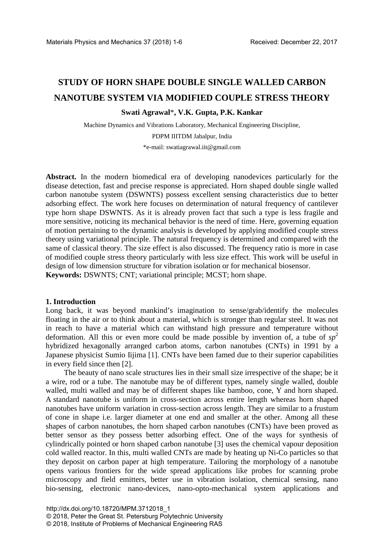# **STUDY OF HORN SHAPE DOUBLE SINGLE WALLED CARBON NANOTUBE SYSTEM VIA MODIFIED COUPLE STRESS THEORY**

# **Swati Agrawal**\***, V.K. Gupta, P.K. Kankar**

Machine Dynamics and Vibrations Laboratory, Mechanical Engineering Discipline, PDPM IIITDM Jabalpur, India \*e-mail: swatiagrawal.iit@gmail.com

**Abstract.** In the modern biomedical era of developing nanodevices particularly for the disease detection, fast and precise response is appreciated. Horn shaped double single walled carbon nanotube system (DSWNTS) possess excellent sensing characteristics due to better adsorbing effect. The work here focuses on determination of natural frequency of cantilever type horn shape DSWNTS. As it is already proven fact that such a type is less fragile and more sensitive, noticing its mechanical behavior is the need of time. Here, governing equation of motion pertaining to the dynamic analysis is developed by applying modified couple stress theory using variational principle. The natural frequency is determined and compared with the same of classical theory. The size effect is also discussed. The frequency ratio is more in case of modified couple stress theory particularly with less size effect. This work will be useful in design of low dimension structure for vibration isolation or for mechanical biosensor. **Keywords:** DSWNTS; CNT; variational principle; MCST; horn shape.

#### **1. Introduction**

Long back, it was beyond mankind's imagination to sense/grab/identify the molecules floating in the air or to think about a material, which is stronger than regular steel. It was not in reach to have a material which can withstand high pressure and temperature without deformation. All this or even more could be made possible by invention of, a tube of  $sp<sup>2</sup>$ hybridized hexagonally arranged carbon atoms, carbon nanotubes (CNTs) in 1991 by a Japanese physicist Sumio Iijima [1]. CNTs have been famed due to their superior capabilities in every field since then [2].

The beauty of nano scale structures lies in their small size irrespective of the shape; be it a wire, rod or a tube. The nanotube may be of different types, namely single walled, double walled, multi walled and may be of different shapes like bamboo, cone, Y and horn shaped. A standard nanotube is uniform in cross-section across entire length whereas horn shaped nanotubes have uniform variation in cross-section across length. They are similar to a frustum of cone in shape i.e. larger diameter at one end and smaller at the other. Among all these shapes of carbon nanotubes, the horn shaped carbon nanotubes (CNTs) have been proved as better sensor as they possess better adsorbing effect. One of the ways for synthesis of cylindrically pointed or horn shaped carbon nanotube [3] uses the chemical vapour deposition cold walled reactor. In this, multi walled CNTs are made by heating up Ni-Co particles so that they deposit on carbon paper at high temperature. Tailoring the morphology of a nanotube opens various frontiers for the wide spread applications like probes for scanning probe microscopy and field emitters, better use in vibration isolation, chemical sensing, nano bio-sensing, electronic nano-devices, nano-opto-mechanical system applications and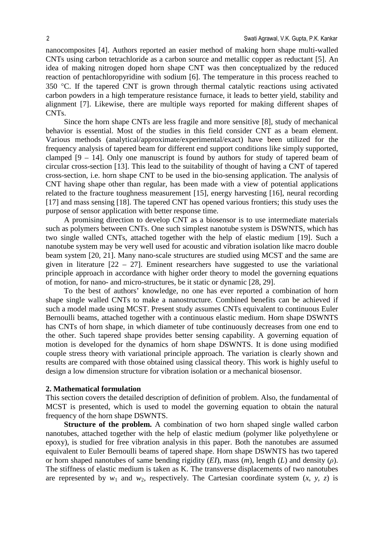nanocomposites [4]. Authors reported an easier method of making horn shape multi-walled CNTs using carbon tetrachloride as a carbon source and metallic copper as reductant [5]. An idea of making nitrogen doped horn shape CNT was then conceptualized by the reduced reaction of pentachloropyridine with sodium [6]. The temperature in this process reached to 350 °C. If the tapered CNT is grown through thermal catalytic reactions using activated carbon powders in a high temperature resistance furnace, it leads to better yield, stability and alignment [7]. Likewise, there are multiple ways reported for making different shapes of CNTs.

Since the horn shape CNTs are less fragile and more sensitive [8], study of mechanical behavior is essential. Most of the studies in this field consider CNT as a beam element. Various methods (analytical/approximate/experimental/exact) have been utilized for the frequency analysis of tapered beam for different end support conditions like simply supported, clamped [9 – 14]. Only one manuscript is found by authors for study of tapered beam of circular cross-section [13]. This lead to the suitability of thought of having a CNT of tapered cross-section, i.e. horn shape CNT to be used in the bio-sensing application. The analysis of CNT having shape other than regular, has been made with a view of potential applications related to the fracture toughness measurement [15], energy harvesting [16], neural recording [17] and mass sensing [18]. The tapered CNT has opened various frontiers; this study uses the purpose of sensor application with better response time.

A promising direction to develop CNT as a biosensor is to use intermediate materials such as polymers between CNTs. One such simplest nanotube system is DSWNTS, which has two single walled CNTs, attached together with the help of elastic medium [19]. Such a nanotube system may be very well used for acoustic and vibration isolation like macro double beam system [20, 21]. Many nano-scale structures are studied using MCST and the same are given in literature  $[22 - 27]$ . Eminent researchers have suggested to use the variational principle approach in accordance with higher order theory to model the governing equations of motion, for nano- and micro-structures, be it static or dynamic [28, 29].

To the best of authors' knowledge, no one has ever reported a combination of horn shape single walled CNTs to make a nanostructure. Combined benefits can be achieved if such a model made using MCST. Present study assumes CNTs equivalent to continuous Euler Bernoulli beams, attached together with a continuous elastic medium. Horn shape DSWNTS has CNTs of horn shape, in which diameter of tube continuously decreases from one end to the other. Such tapered shape provides better sensing capability. A governing equation of motion is developed for the dynamics of horn shape DSWNTS. It is done using modified couple stress theory with variational principle approach. The variation is clearly shown and results are compared with those obtained using classical theory. This work is highly useful to design a low dimension structure for vibration isolation or a mechanical biosensor.

#### **2. Mathematical formulation**

This section covers the detailed description of definition of problem. Also, the fundamental of MCST is presented, which is used to model the governing equation to obtain the natural frequency of the horn shape DSWNTS.

**Structure of the problem.** A combination of two horn shaped single walled carbon nanotubes, attached together with the help of elastic medium (polymer like polyethylene or epoxy), is studied for free vibration analysis in this paper. Both the nanotubes are assumed equivalent to Euler Bernoulli beams of tapered shape. Horn shape DSWNTS has two tapered or horn shaped nanotubes of same bending rigidity (*EI*), mass (*m*), length (*L*) and density (*ρ*). The stiffness of elastic medium is taken as K. The transverse displacements of two nanotubes are represented by  $w_1$  and  $w_2$ , respectively. The Cartesian coordinate system  $(x, y, z)$  is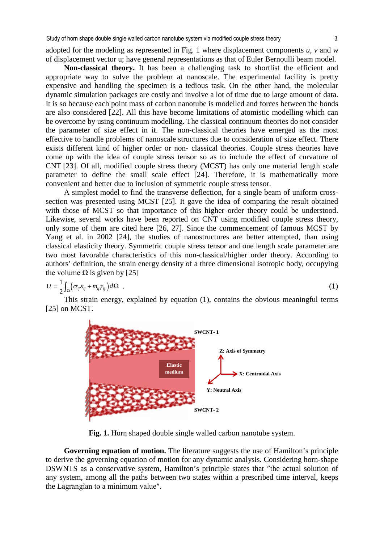adopted for the modeling as represented in Fig. 1 where displacement components *u*, *v* and *w* of displacement vector u; have general representations as that of Euler Bernoulli beam model.

**Non-classical theory.** It has been a challenging task to shortlist the efficient and appropriate way to solve the problem at nanoscale. The experimental facility is pretty expensive and handling the specimen is a tedious task. On the other hand, the molecular dynamic simulation packages are costly and involve a lot of time due to large amount of data. It is so because each point mass of carbon nanotube is modelled and forces between the bonds are also considered [22]. All this have become limitations of atomistic modelling which can be overcome by using continuum modelling. The classical continuum theories do not consider the parameter of size effect in it. The non-classical theories have emerged as the most effective to handle problems of nanoscale structures due to consideration of size effect. There exists different kind of higher order or non- classical theories. Couple stress theories have come up with the idea of couple stress tensor so as to include the effect of curvature of CNT [23]. Of all, modified couple stress theory (MCST) has only one material length scale parameter to define the small scale effect [24]. Therefore, it is mathematically more convenient and better due to inclusion of symmetric couple stress tensor.

A simplest model to find the transverse deflection, for a single beam of uniform crosssection was presented using MCST [25]. It gave the idea of comparing the result obtained with those of MCST so that importance of this higher order theory could be understood. Likewise, several works have been reported on CNT using modified couple stress theory, only some of them are cited here [26, 27]. Since the commencement of famous MCST by Yang et al. in 2002 [24], the studies of nanostructures are better attempted, than using classical elasticity theory. Symmetric couple stress tensor and one length scale parameter are two most favorable characteristics of this non-classical/higher order theory. According to authors' definition, the strain energy density of a three dimensional isotropic body, occupying the volume  $\Omega$  is given by [25]

$$
U = \frac{1}{2} \int_{\Omega} \left( \sigma_{ij} \varepsilon_{ij} + m_{ij} \gamma_{ij} \right) d\Omega \quad . \tag{1}
$$

This strain energy, explained by equation (1), contains the obvious meaningful terms [25] on MCST.



**Fig. 1.** Horn shaped double single walled carbon nanotube system.

**Governing equation of motion.** The literature suggests the use of Hamilton's principle to derive the governing equation of motion for any dynamic analysis. Considering horn-shape DSWNTS as a conservative system, Hamilton's principle states that ″the actual solution of any system, among all the paths between two states within a prescribed time interval, keeps the Lagrangian to a minimum value″.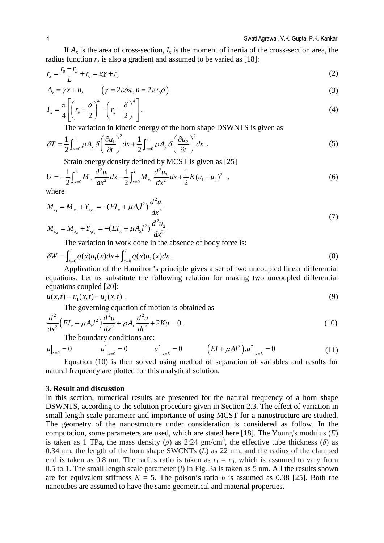If  $A_x$  is the area of cross-section,  $I_x$  is the moment of inertia of the cross-section area, the radius function  $r<sub>x</sub>$  is also a gradient and assumed to be varied as [18]:

$$
r_x = \frac{r_0 - r_L}{L} + r_0 = \varepsilon \chi + r_0 \tag{2}
$$

$$
A_x = \gamma x + n, \qquad \left(\gamma = 2\varepsilon \delta \pi, n = 2\pi r_0 \delta\right)
$$
\n(3)

$$
I_x = \frac{\pi}{4} \left[ \left( r_x + \frac{\delta}{2} \right)^4 - \left( r_x - \frac{\delta}{2} \right)^4 \right].
$$
 (4)

The variation in kinetic energy of the horn shape DSWNTS is given as

$$
\delta T = \frac{1}{2} \int_{x=0}^{L} \rho A_x \delta \left( \frac{\partial u_1}{\partial t} \right)^2 dx + \frac{1}{2} \int_{x=0}^{L} \rho A_x \delta \left( \frac{\partial u_2}{\partial t} \right)^2 dx \tag{5}
$$

Strain energy density defined by MCST is given as [25]

$$
U = -\frac{1}{2} \int_{x=0}^{L} M_{c_1} \frac{d^2 u_1}{dx^2} dx - \frac{1}{2} \int_{x=0}^{L} M_{c_2} \frac{d^2 u_2}{dx^2} dx + \frac{1}{2} K (u_1 - u_2)^2 , \qquad (6)
$$

where

$$
M_{c_1} = M_{x_1} + Y_{xy_1} = -(EI_x + \mu A_x l^2) \frac{d^2 u_1}{dx^2}
$$
\n(7)

$$
M_{c_2} = M_{x_2} + Y_{x_{y_2}} = -(EI_x + \mu A_x l^2) \frac{d^2 u_2}{dx^2}
$$

The variation in work done in the absence of body force is:

$$
\delta W = \int_{x=0}^{L} q(x)u_1(x)dx + \int_{x=0}^{L} q(x)u_2(x)dx
$$
\n(8)

Application of the Hamilton's principle gives a set of two uncoupled linear differential equations. Let us substitute the following relation for making two uncoupled differential equations coupled [20]:

$$
u(x,t) = u_1(x,t) - u_2(x,t) \tag{9}
$$

The governing equation of motion is obtained as

$$
\frac{d^2}{dx^2} \left( EI_x + \mu A_x l^2 \right) \frac{d^2 u}{dx^2} + \rho A_x \frac{d^2 u}{dt^2} + 2Ku = 0 \,. \tag{10}
$$

The boundary conditions are:

$$
u\Big|_{x=0} = 0 \qquad \qquad u^{'}\Big|_{x=0} = 0 \qquad \qquad u^{''}\Big|_{x=L} = 0 \qquad \qquad \left(EI + \mu A l^2\right).u^{''}\Big|_{x=L} = 0 \qquad (11)
$$

Equation (10) is then solved using method of separation of variables and results for natural frequency are plotted for this analytical solution.

### **3. Result and discussion**

In this section, numerical results are presented for the natural frequency of a horn shape DSWNTS, according to the solution procedure given in Section 2.3. The effect of variation in small length scale parameter and importance of using MCST for a nanostructure are studied. The geometry of the nanostructure under consideration is considered as follow. In the computation, some parameters are used, which are stated here [18]. The Young's modulus (*E*) is taken as 1 TPa, the mass density  $(\rho)$  as 2:24 gm/cm<sup>3</sup>, the effective tube thickness  $(\delta)$  as 0.34 nm, the length of the horn shape SWCNTs (*L*) as 22 nm, and the radius of the clamped end is taken as 0.8 nm. The radius ratio is taken as  $r_L = r_0$ , which is assumed to vary from 0.5 to 1. The small length scale parameter (*l*) in Fig. 3a is taken as 5 nm. All the results shown are for equivalent stiffness  $K = 5$ . The poison's ratio *v* is assumed as 0.38 [25]. Both the nanotubes are assumed to have the same geometrical and material properties.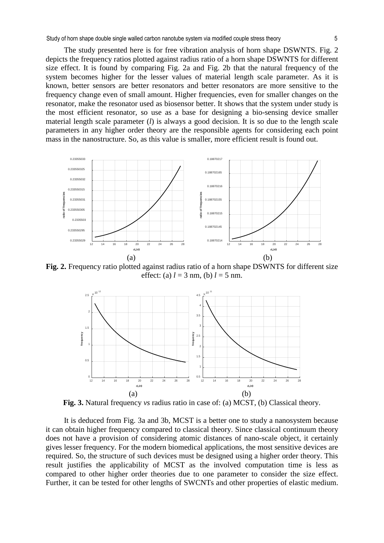Study of horn shape double single walled carbon nanotube system via modified couple stress theory 5

The study presented here is for free vibration analysis of horn shape DSWNTS. Fig. 2 depicts the frequency ratios plotted against radius ratio of a horn shape DSWNTS for different size effect. It is found by comparing Fig. 2a and Fig. 2b that the natural frequency of the system becomes higher for the lesser values of material length scale parameter. As it is known, better sensors are better resonators and better resonators are more sensitive to the frequency change even of small amount. Higher frequencies, even for smaller changes on the resonator, make the resonator used as biosensor better. It shows that the system under study is the most efficient resonator, so use as a base for designing a bio-sensing device smaller material length scale parameter (*l*) is always a good decision. It is so due to the length scale parameters in any higher order theory are the responsible agents for considering each point mass in the nanostructure. So, as this value is smaller, more efficient result is found out.



**Fig. 2.** Frequency ratio plotted against radius ratio of a horn shape DSWNTS for different size effect: (a)  $l = 3$  nm, (b)  $l = 5$  nm.



**Fig. 3.** Natural frequency *vs* radius ratio in case of: (a) MCST, (b) Classical theory.

It is deduced from Fig. 3a and 3b, MCST is a better one to study a nanosystem because it can obtain higher frequency compared to classical theory. Since classical continuum theory does not have a provision of considering atomic distances of nano-scale object, it certainly gives lesser frequency. For the modern biomedical applications, the most sensitive devices are required. So, the structure of such devices must be designed using a higher order theory. This result justifies the applicability of MCST as the involved computation time is less as compared to other higher order theories due to one parameter to consider the size effect. Further, it can be tested for other lengths of SWCNTs and other properties of elastic medium.